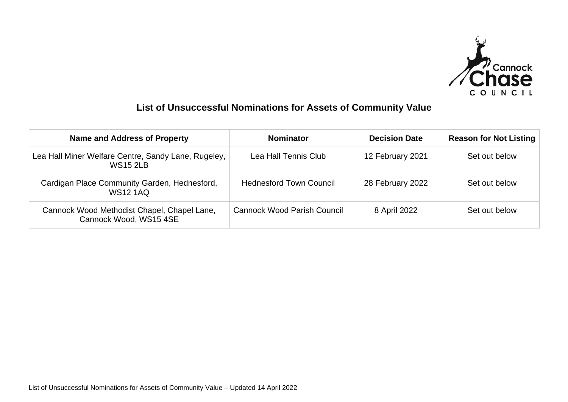

## **List of Unsuccessful Nominations for Assets of Community Value**

| <b>Name and Address of Property</b>                                    | <b>Nominator</b>                   | <b>Decision Date</b> | <b>Reason for Not Listing</b> |
|------------------------------------------------------------------------|------------------------------------|----------------------|-------------------------------|
| Lea Hall Miner Welfare Centre, Sandy Lane, Rugeley,<br><b>WS15 2LB</b> | Lea Hall Tennis Club               | 12 February 2021     | Set out below                 |
| Cardigan Place Community Garden, Hednesford,<br><b>WS12 1AQ</b>        | <b>Hednesford Town Council</b>     | 28 February 2022     | Set out below                 |
| Cannock Wood Methodist Chapel, Chapel Lane,<br>Cannock Wood, WS15 4SE  | <b>Cannock Wood Parish Council</b> | 8 April 2022         | Set out below                 |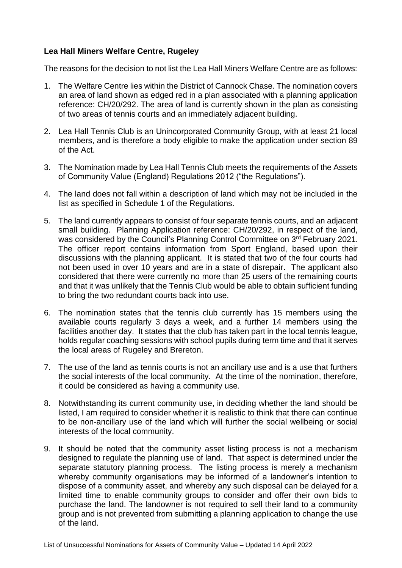## **Lea Hall Miners Welfare Centre, Rugeley**

The reasons for the decision to not list the Lea Hall Miners Welfare Centre are as follows:

- 1. The Welfare Centre lies within the District of Cannock Chase. The nomination covers an area of land shown as edged red in a plan associated with a planning application reference: CH/20/292. The area of land is currently shown in the plan as consisting of two areas of tennis courts and an immediately adjacent building.
- 2. Lea Hall Tennis Club is an Unincorporated Community Group, with at least 21 local members, and is therefore a body eligible to make the application under section 89 of the Act.
- 3. The Nomination made by Lea Hall Tennis Club meets the requirements of the Assets of Community Value (England) Regulations 2012 ("the Regulations").
- 4. The land does not fall within a description of land which may not be included in the list as specified in Schedule 1 of the Regulations.
- 5. The land currently appears to consist of four separate tennis courts, and an adjacent small building. Planning Application reference: CH/20/292, in respect of the land, was considered by the Council's Planning Control Committee on 3<sup>rd</sup> February 2021. The officer report contains information from Sport England, based upon their discussions with the planning applicant. It is stated that two of the four courts had not been used in over 10 years and are in a state of disrepair. The applicant also considered that there were currently no more than 25 users of the remaining courts and that it was unlikely that the Tennis Club would be able to obtain sufficient funding to bring the two redundant courts back into use.
- 6. The nomination states that the tennis club currently has 15 members using the available courts regularly 3 days a week, and a further 14 members using the facilities another day. It states that the club has taken part in the local tennis league, holds regular coaching sessions with school pupils during term time and that it serves the local areas of Rugeley and Brereton.
- 7. The use of the land as tennis courts is not an ancillary use and is a use that furthers the social interests of the local community. At the time of the nomination, therefore, it could be considered as having a community use.
- 8. Notwithstanding its current community use, in deciding whether the land should be listed, I am required to consider whether it is realistic to think that there can continue to be non-ancillary use of the land which will further the social wellbeing or social interests of the local community.
- 9. It should be noted that the community asset listing process is not a mechanism designed to regulate the planning use of land. That aspect is determined under the separate statutory planning process. The listing process is merely a mechanism whereby community organisations may be informed of a landowner's intention to dispose of a community asset, and whereby any such disposal can be delayed for a limited time to enable community groups to consider and offer their own bids to purchase the land. The landowner is not required to sell their land to a community group and is not prevented from submitting a planning application to change the use of the land.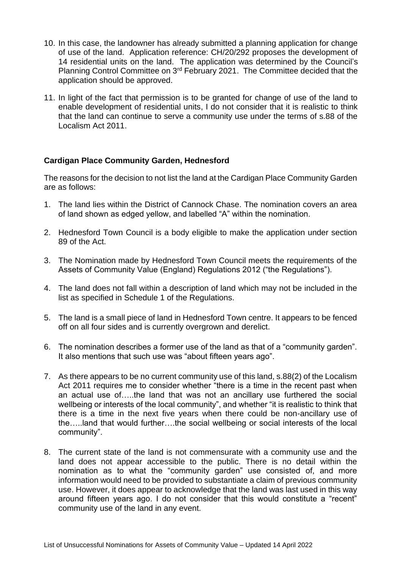- 10. In this case, the landowner has already submitted a planning application for change of use of the land. Application reference: CH/20/292 proposes the development of 14 residential units on the land. The application was determined by the Council's Planning Control Committee on 3rd February 2021. The Committee decided that the application should be approved.
- 11. In light of the fact that permission is to be granted for change of use of the land to enable development of residential units, I do not consider that it is realistic to think that the land can continue to serve a community use under the terms of s.88 of the Localism Act 2011.

## **Cardigan Place Community Garden, Hednesford**

The reasons for the decision to not list the land at the Cardigan Place Community Garden are as follows:

- 1. The land lies within the District of Cannock Chase. The nomination covers an area of land shown as edged yellow, and labelled "A" within the nomination.
- 2. Hednesford Town Council is a body eligible to make the application under section 89 of the Act.
- 3. The Nomination made by Hednesford Town Council meets the requirements of the Assets of Community Value (England) Regulations 2012 ("the Regulations").
- 4. The land does not fall within a description of land which may not be included in the list as specified in Schedule 1 of the Regulations.
- 5. The land is a small piece of land in Hednesford Town centre. It appears to be fenced off on all four sides and is currently overgrown and derelict.
- 6. The nomination describes a former use of the land as that of a "community garden". It also mentions that such use was "about fifteen years ago".
- 7. As there appears to be no current community use of this land, s.88(2) of the Localism Act 2011 requires me to consider whether "there is a time in the recent past when an actual use of…..the land that was not an ancillary use furthered the social wellbeing or interests of the local community", and whether "it is realistic to think that there is a time in the next five years when there could be non-ancillary use of the…..land that would further….the social wellbeing or social interests of the local community".
- 8. The current state of the land is not commensurate with a community use and the land does not appear accessible to the public. There is no detail within the nomination as to what the "community garden" use consisted of, and more information would need to be provided to substantiate a claim of previous community use. However, it does appear to acknowledge that the land was last used in this way around fifteen years ago. I do not consider that this would constitute a "recent" community use of the land in any event.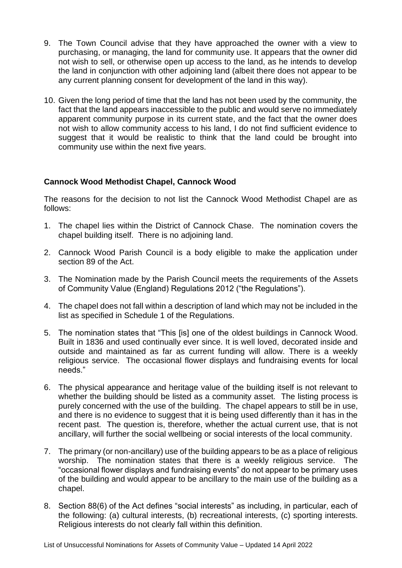- 9. The Town Council advise that they have approached the owner with a view to purchasing, or managing, the land for community use. It appears that the owner did not wish to sell, or otherwise open up access to the land, as he intends to develop the land in conjunction with other adjoining land (albeit there does not appear to be any current planning consent for development of the land in this way).
- 10. Given the long period of time that the land has not been used by the community, the fact that the land appears inaccessible to the public and would serve no immediately apparent community purpose in its current state, and the fact that the owner does not wish to allow community access to his land, I do not find sufficient evidence to suggest that it would be realistic to think that the land could be brought into community use within the next five years.

## **Cannock Wood Methodist Chapel, Cannock Wood**

The reasons for the decision to not list the Cannock Wood Methodist Chapel are as follows:

- 1. The chapel lies within the District of Cannock Chase. The nomination covers the chapel building itself. There is no adjoining land.
- 2. Cannock Wood Parish Council is a body eligible to make the application under section 89 of the Act.
- 3. The Nomination made by the Parish Council meets the requirements of the Assets of Community Value (England) Regulations 2012 ("the Regulations").
- 4. The chapel does not fall within a description of land which may not be included in the list as specified in Schedule 1 of the Regulations.
- 5. The nomination states that "This [is] one of the oldest buildings in Cannock Wood. Built in 1836 and used continually ever since. It is well loved, decorated inside and outside and maintained as far as current funding will allow. There is a weekly religious service. The occasional flower displays and fundraising events for local needs."
- 6. The physical appearance and heritage value of the building itself is not relevant to whether the building should be listed as a community asset. The listing process is purely concerned with the use of the building. The chapel appears to still be in use, and there is no evidence to suggest that it is being used differently than it has in the recent past. The question is, therefore, whether the actual current use, that is not ancillary, will further the social wellbeing or social interests of the local community.
- 7. The primary (or non-ancillary) use of the building appears to be as a place of religious worship. The nomination states that there is a weekly religious service. The "occasional flower displays and fundraising events" do not appear to be primary uses of the building and would appear to be ancillary to the main use of the building as a chapel.
- 8. Section 88(6) of the Act defines "social interests" as including, in particular, each of the following: (a) cultural interests, (b) recreational interests, (c) sporting interests. Religious interests do not clearly fall within this definition.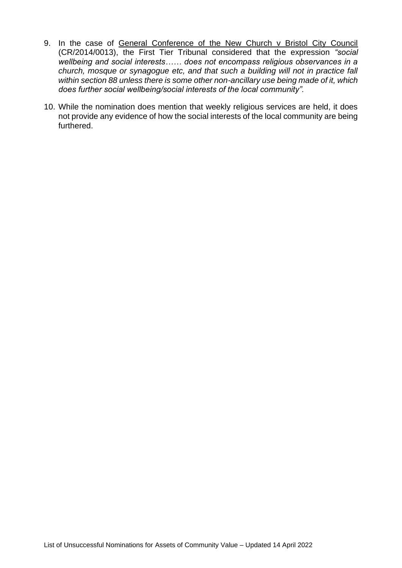- 9. In the case of General Conference of the New Church v Bristol City Council (CR/2014/0013), the First Tier Tribunal considered that the expression *"social wellbeing and social interests…… does not encompass religious observances in a church, mosque or synagogue etc, and that such a building will not in practice fall within section 88 unless there is some other non-ancillary use being made of it, which does further social wellbeing/social interests of the local community".*
- 10. While the nomination does mention that weekly religious services are held, it does not provide any evidence of how the social interests of the local community are being furthered.